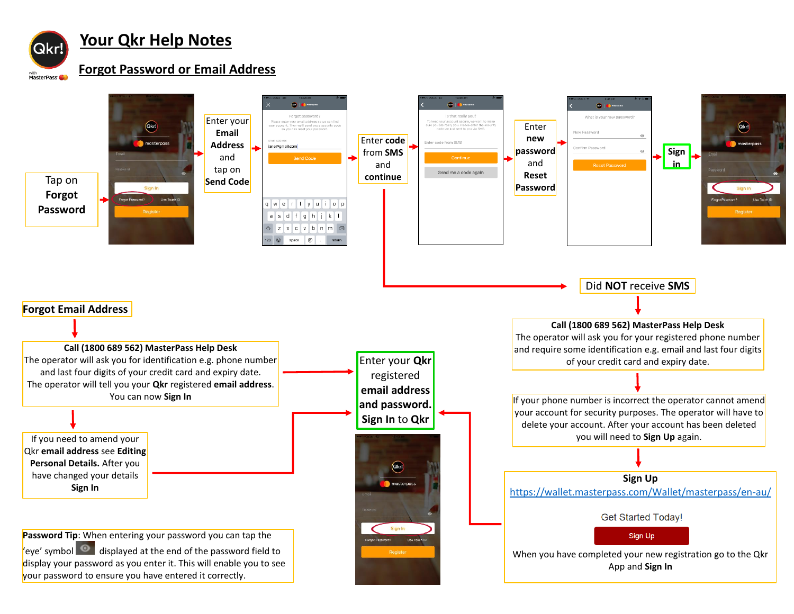

# **Your Qkr Help Notes**